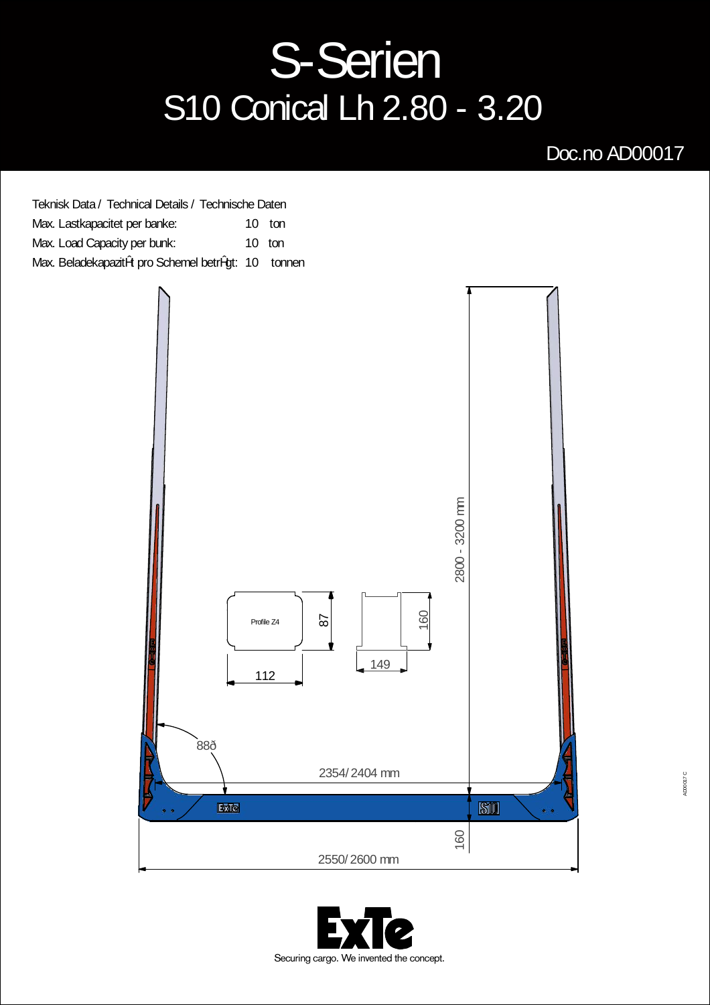## S-Serien S10 Conical Lh 2.80 - 3.20

## Doc.no AD00017

| Teknisk Data / Technical Details / Technische Daten |          |
|-----------------------------------------------------|----------|
| Max. Lastkapacitet per banke:                       | $10$ ton |
| Max. Load Capacity per bunk:                        | $10$ ton |
| Max. Beladekapazitžt pro Schemel betržgt: 10 tonnen |          |



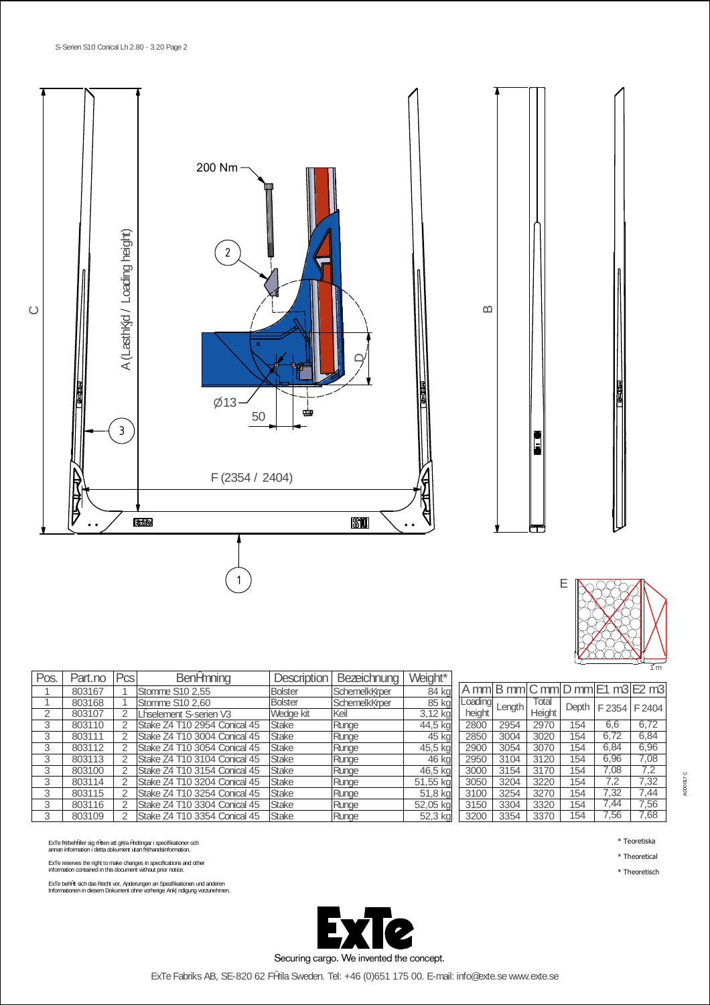

| Ε |  |
|---|--|
|   |  |

| Pos. | Part.no | Pcs            | Benžmning                    | Description    | Bezeichnung   | Weight*  |
|------|---------|----------------|------------------------------|----------------|---------------|----------|
|      | 803167  |                | Stomme S10 2.55              | <b>Bolster</b> | Schemelk rper | $84$ kg  |
|      | 803168  |                | Stomme S10 2,60              | <b>Bolster</b> | Schemelk rper | 85 kg    |
| 2    | 803107  | 2              | L0selement S-serien V3       | Wedge kit      | lKeil         | 3,12 kg  |
| 3    | 803110  | 2              | Stake Z4 T10 2954 Conical 45 | <b>Stake</b>   | Runge         | 44,5 kg  |
| 3    | 803111  | 2              | Stake Z4 T10 3004 Conical 45 | <b>Stake</b>   | Runge         | 45 kg    |
| 3    | 803112  | $\overline{2}$ | Stake Z4 T10 3054 Conical 45 | <b>Stake</b>   | Runge         | 45,5 kg  |
| 3    | 803113  | 2              | Stake Z4 T10 3104 Conical 45 | <b>Stake</b>   | Runge         | 46 kg    |
| 3    | 803100  | 2              | Stake Z4 T10 3154 Conical 45 | <b>Stake</b>   | Runge         | 46,5 kg  |
| 3    | 803114  | 2              | Stake Z4 T10 3204 Conical 45 | <b>Stake</b>   | Runge         | 51,55 kg |
| 3    | 803115  | 2              | Stake Z4 T10 3254 Conical 45 | <b>Stake</b>   | Runge         | 51,8 kg  |
| 3    | 803116  | 2              | Stake Z4 T10 3304 Conical 45 | <b>Stake</b>   | Runge         | 52,05 kg |
| 3    | 803109  | 2              | Stake Z4 T10 3354 Conical 45 | <b>Stake</b>   | Runge         | 52,3 kg  |

ExTe f rbehåller sig <sup>r</sup>ätten att g raändringar i specifikationer och annan information i detta dokument utan f rhandsinformation.

ExTe reserves the right to make changes in specifications and other information contained in this document without prior notice.

ExTe behžlt sich das Recht vor, snderungen an Spezifikationen und anderen<br>Informationen in diesem Dokument ohne vorherige Ank ndigung vorzunehmen.



A mm B mm C mm D mm E1 m3 E2 m3 Loading height<br>2800 Length Total Height Depth  $F 2354$  F 2404 2800 2954 2970 154 6,6 6,72 2850 3004 3020 154 6,72 6,84 2900 3054 3070 154 6,84 6,96<br>2950 3104 3120 154 6,96 7,08<br>3000 3154 3170 154 7,08 7,2 2950 3104 3120 154 6,96<br>3000 3154 3170 154 7,08<br>3050 3204 3220 154 7,2<br>3100 3254 3270 154 7,32 3000 | 3154 | 3170 | 154 | 7,08 | 7,2 3050 3204 3220 154 7,2 7,32 3100 | 3254 | 3270 | 154 | 7,32 | 7,44 3150 3304 3320 154 7,44 7,56 3200 3354 3370 154 7,56 7,68

\* Teoretiska

AD00017 C

\* Theoretical

ExTe Fabriks AB, SE-820 62 Färila Sweden. Tel: +46 (0)651 175 00. E-mail: info@exte.se www.exte.se